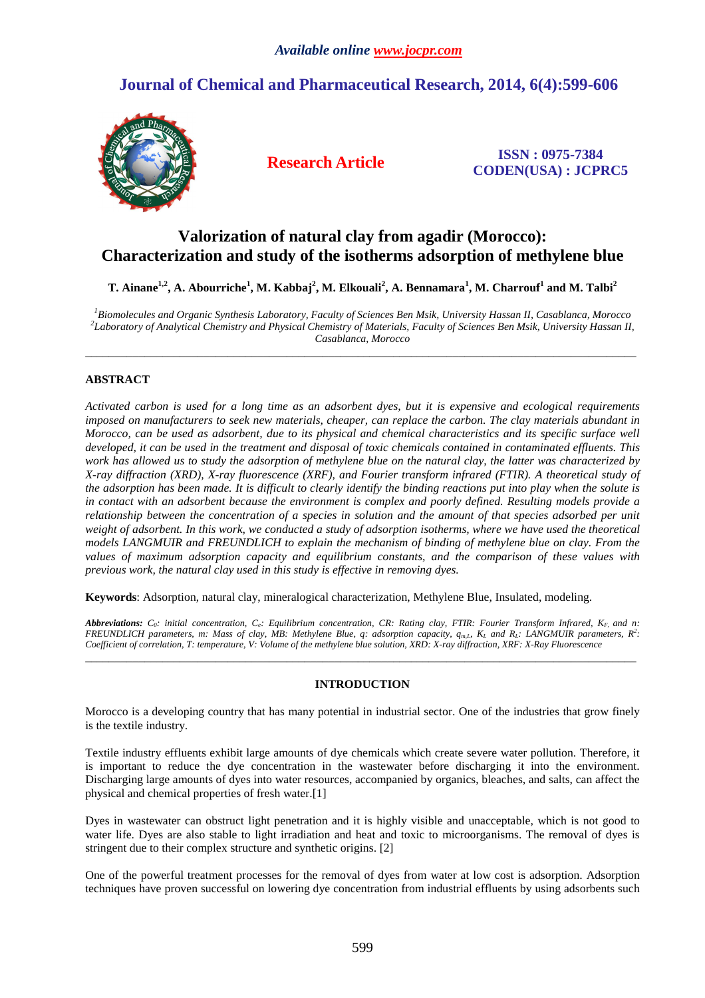# **Journal of Chemical and Pharmaceutical Research, 2014, 6(4):599-606**



**Research Article ISSN : 0975-7384 CODEN(USA) : JCPRC5**

# **Valorization of natural clay from agadir (Morocco): Characterization and study of the isotherms adsorption of methylene blue**

**T. Ainane1,2, A. Abourriche<sup>1</sup> , M. Kabbaj<sup>2</sup> , M. Elkouali<sup>2</sup> , A. Bennamara<sup>1</sup> , M. Charrouf<sup>1</sup> and M. Talbi<sup>2</sup>**

*<sup>1</sup>Biomolecules and Organic Synthesis Laboratory, Faculty of Sciences Ben Msik, University Hassan II, Casablanca, Morocco 2 Laboratory of Analytical Chemistry and Physical Chemistry of Materials, Faculty of Sciences Ben Msik, University Hassan II, Casablanca, Morocco* 

 $\overline{a}$  , and the contribution of the contribution of the contribution of the contribution of the contribution of  $\overline{a}$ 

## **ABSTRACT**

*Activated carbon is used for a long time as an adsorbent dyes, but it is expensive and ecological requirements imposed on manufacturers to seek new materials, cheaper, can replace the carbon. The clay materials abundant in Morocco, can be used as adsorbent, due to its physical and chemical characteristics and its specific surface well developed, it can be used in the treatment and disposal of toxic chemicals contained in contaminated effluents. This work has allowed us to study the adsorption of methylene blue on the natural clay, the latter was characterized by X-ray diffraction (XRD), X-ray fluorescence (XRF), and Fourier transform infrared (FTIR). A theoretical study of the adsorption has been made. It is difficult to clearly identify the binding reactions put into play when the solute is in contact with an adsorbent because the environment is complex and poorly defined. Resulting models provide a relationship between the concentration of a species in solution and the amount of that species adsorbed per unit weight of adsorbent. In this work, we conducted a study of adsorption isotherms, where we have used the theoretical models LANGMUIR and FREUNDLICH to explain the mechanism of binding of methylene blue on clay. From the values of maximum adsorption capacity and equilibrium constants, and the comparison of these values with previous work, the natural clay used in this study is effective in removing dyes.* 

**Keywords**: Adsorption, natural clay, mineralogical characterization, Methylene Blue, Insulated, modeling.

*Abbreviations: C0: initial concentration, Ce: Equilibrium concentration, CR: Rating clay, FTIR: Fourier Transform Infrared, KF, and n: FREUNDLICH parameters, m: Mass of clay, MB: Methylene Blue, q: adsorption capacity,*  $q_{m,L}$ *,*  $K_L$  *and*  $R_L$ *: LANGMUIR parameters,*  $R^2$ *: Coefficient of correlation, T: temperature, V: Volume of the methylene blue solution, XRD: X-ray diffraction, XRF: X-Ray Fluorescence* 

\_\_\_\_\_\_\_\_\_\_\_\_\_\_\_\_\_\_\_\_\_\_\_\_\_\_\_\_\_\_\_\_\_\_\_\_\_\_\_\_\_\_\_\_\_\_\_\_\_\_\_\_\_\_\_\_\_\_\_\_\_\_\_\_\_\_\_\_\_\_\_\_\_\_\_\_\_\_\_\_\_\_\_\_\_\_\_\_\_\_\_\_\_

## **INTRODUCTION**

Morocco is a developing country that has many potential in industrial sector. One of the industries that grow finely is the textile industry.

Textile industry effluents exhibit large amounts of dye chemicals which create severe water pollution. Therefore, it is important to reduce the dye concentration in the wastewater before discharging it into the environment. Discharging large amounts of dyes into water resources, accompanied by organics, bleaches, and salts, can affect the physical and chemical properties of fresh water.[1]

Dyes in wastewater can obstruct light penetration and it is highly visible and unacceptable, which is not good to water life. Dyes are also stable to light irradiation and heat and toxic to microorganisms. The removal of dyes is stringent due to their complex structure and synthetic origins. [2]

One of the powerful treatment processes for the removal of dyes from water at low cost is adsorption. Adsorption techniques have proven successful on lowering dye concentration from industrial effluents by using adsorbents such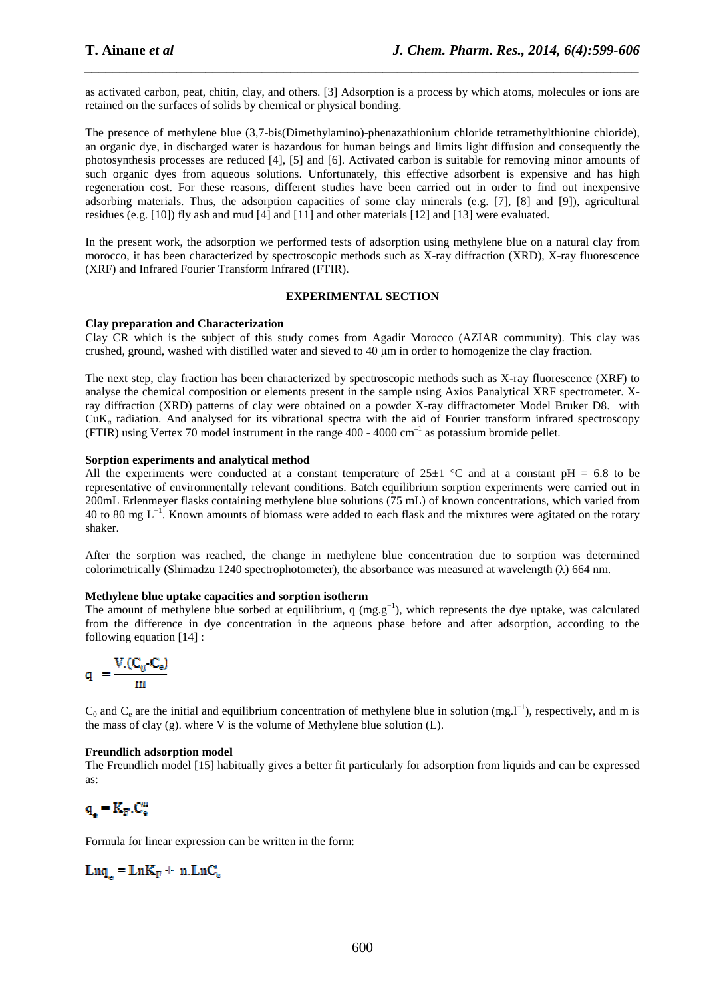as activated carbon, peat, chitin, clay, and others. [3] Adsorption is a process by which atoms, molecules or ions are retained on the surfaces of solids by chemical or physical bonding.

*\_\_\_\_\_\_\_\_\_\_\_\_\_\_\_\_\_\_\_\_\_\_\_\_\_\_\_\_\_\_\_\_\_\_\_\_\_\_\_\_\_\_\_\_\_\_\_\_\_\_\_\_\_\_\_\_\_\_\_\_\_\_\_\_\_\_\_\_\_\_\_\_\_\_\_\_\_\_*

The presence of methylene blue (3,7-bis(Dimethylamino)-phenazathionium chloride tetramethylthionine chloride), an organic dye, in discharged water is hazardous for human beings and limits light diffusion and consequently the photosynthesis processes are reduced [4], [5] and [6]. Activated carbon is suitable for removing minor amounts of such organic dyes from aqueous solutions. Unfortunately, this effective adsorbent is expensive and has high regeneration cost. For these reasons, different studies have been carried out in order to find out inexpensive adsorbing materials. Thus, the adsorption capacities of some clay minerals (e.g. [7], [8] and [9]), agricultural residues (e.g. [10]) fly ash and mud [4] and [11] and other materials [12] and [13] were evaluated.

In the present work, the adsorption we performed tests of adsorption using methylene blue on a natural clay from morocco, it has been characterized by spectroscopic methods such as X-ray diffraction (XRD), X-ray fluorescence (XRF) and Infrared Fourier Transform Infrared (FTIR).

#### **EXPERIMENTAL SECTION**

## **Clay preparation and Characterization**

Clay CR which is the subject of this study comes from Agadir Morocco (AZIAR community). This clay was crushed, ground, washed with distilled water and sieved to 40 µm in order to homogenize the clay fraction.

The next step, clay fraction has been characterized by spectroscopic methods such as X-ray fluorescence (XRF) to analyse the chemical composition or elements present in the sample using Axios Panalytical XRF spectrometer. Xray diffraction (XRD) patterns of clay were obtained on a powder X-ray diffractometer Model Bruker D8. with  $CuK<sub>a</sub>$  radiation. And analysed for its vibrational spectra with the aid of Fourier transform infrared spectroscopy (FTIR) using Vertex 70 model instrument in the range  $400 - 4000$  cm<sup>-1</sup> as potassium bromide pellet.

## **Sorption experiments and analytical method**

All the experiments were conducted at a constant temperature of  $25\pm1$  °C and at a constant pH = 6.8 to be representative of environmentally relevant conditions. Batch equilibrium sorption experiments were carried out in 200mL Erlenmeyer flasks containing methylene blue solutions (75 mL) of known concentrations, which varied from 40 to 80 mg L−1. Known amounts of biomass were added to each flask and the mixtures were agitated on the rotary shaker.

After the sorption was reached, the change in methylene blue concentration due to sorption was determined colorimetrically (Shimadzu 1240 spectrophotometer), the absorbance was measured at wavelength (λ) 664 nm.

## **Methylene blue uptake capacities and sorption isotherm**

The amount of methylene blue sorbed at equilibrium, q  $(mg.g^{-1})$ , which represents the dye uptake, was calculated from the difference in dye concentration in the aqueous phase before and after adsorption, according to the following equation [14] :

$$
q~= \frac{V.(C_0\text{-}C_e)}{m}
$$

 $C_0$  and  $C_e$  are the initial and equilibrium concentration of methylene blue in solution (mg.l<sup>-1</sup>), respectively, and m is the mass of clay (g). where V is the volume of Methylene blue solution  $(L)$ .

## **Freundlich adsorption model**

The Freundlich model [15] habitually gives a better fit particularly for adsorption from liquids and can be expressed as:

$$
\mathbf{q}_{_{\text{e}}} = \mathbf{K}_{F}.\mathbf{C}_{_{\text{e}}}^{n}
$$

Formula for linear expression can be written in the form:

$$
Lnq_e = LnK_F + n.LnC_e
$$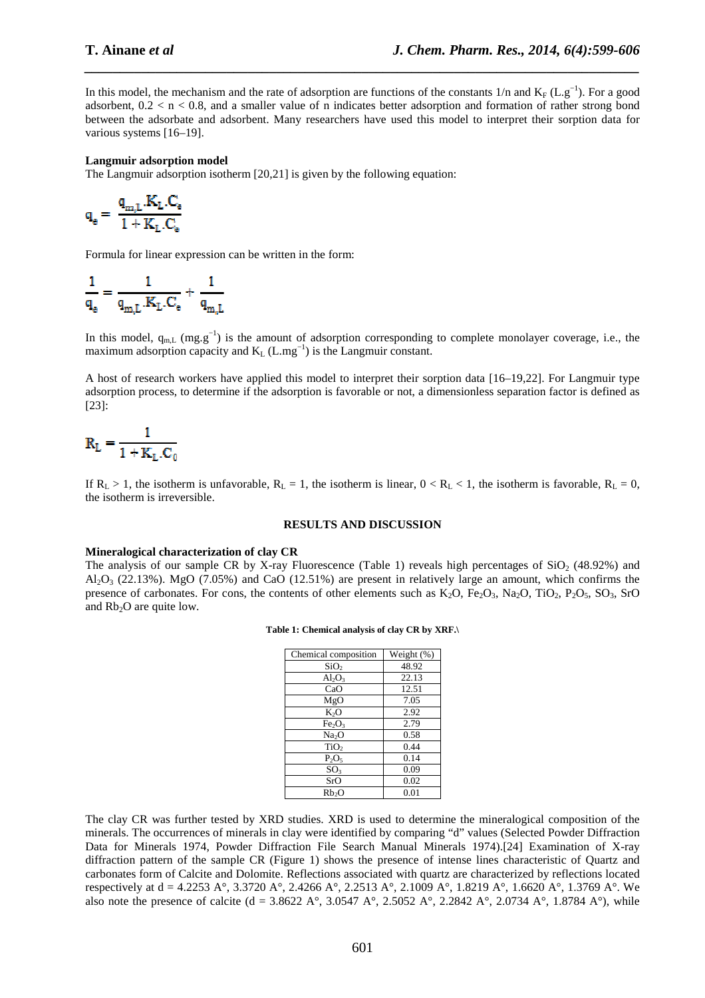In this model, the mechanism and the rate of adsorption are functions of the constants 1/n and K<sub>F</sub> (L.g<sup>-1</sup>). For a good adsorbent,  $0.2 < n < 0.8$ , and a smaller value of n indicates better adsorption and formation of rather strong bond between the adsorbate and adsorbent. Many researchers have used this model to interpret their sorption data for various systems [16–19].

*\_\_\_\_\_\_\_\_\_\_\_\_\_\_\_\_\_\_\_\_\_\_\_\_\_\_\_\_\_\_\_\_\_\_\_\_\_\_\_\_\_\_\_\_\_\_\_\_\_\_\_\_\_\_\_\_\_\_\_\_\_\_\_\_\_\_\_\_\_\_\_\_\_\_\_\_\_\_*

#### **Langmuir adsorption model**

The Langmuir adsorption isotherm [20,21] is given by the following equation:

$$
\mathbf{q}_{\text{e}} = \frac{\mathbf{q}_{\text{m},\text{L}}.\mathbf{K}_{\text{L}}.\mathbf{C}_{\text{e}}}{1 + \mathbf{K}_{\text{L}}.\mathbf{C}_{\text{e}}}
$$

Formula for linear expression can be written in the form:

$$
\frac{1}{\mathbf{q}_{_{\mathrm{o}}}}=\frac{1}{\mathbf{q}_{_{\mathrm{m},\mathrm{L}}}. \mathbf{K}_\mathrm{L}. \mathbf{C}_{_{\mathrm{e}}}}+\frac{1}{\mathbf{q}_{_{\mathrm{m},\mathrm{L}}}}
$$

In this model,  $q_{m,L}$  (mg.g<sup>-1</sup>) is the amount of adsorption corresponding to complete monolayer coverage, i.e., the maximum adsorption capacity and  $K_L$  (L.mg<sup>-1</sup>) is the Langmuir constant.

A host of research workers have applied this model to interpret their sorption data [16–19,22]. For Langmuir type adsorption process, to determine if the adsorption is favorable or not, a dimensionless separation factor is defined as [23]:

$$
\mathbf{R}_{\mathrm{L}} = \frac{1}{1 + \mathbf{K}_{\mathrm{L}}.\mathbf{C}_0}
$$

If  $R_L > 1$ , the isotherm is unfavorable,  $R_L = 1$ , the isotherm is linear,  $0 < R_L < 1$ , the isotherm is favorable,  $R_L = 0$ , the isotherm is irreversible.

#### **RESULTS AND DISCUSSION**

#### **Mineralogical characterization of clay CR**

The analysis of our sample CR by X-ray Fluorescence (Table 1) reveals high percentages of  $SiO<sub>2</sub>$  (48.92%) and  $A<sub>1</sub>Q<sub>3</sub>$  (22.13%). MgO (7.05%) and CaO (12.51%) are present in relatively large an amount, which confirms the presence of carbonates. For cons, the contents of other elements such as  $K_2O$ ,  $Fe_2O_3$ ,  $Na_2O$ ,  $TiO_2$ ,  $P_2O_5$ ,  $SO_3$ ,  $SrO$ and  $Rb<sub>2</sub>O$  are quite low.

| Chemical composition           | Weight (%) |
|--------------------------------|------------|
| SiO <sub>2</sub>               | 48.92      |
| $Al_2O_3$                      | 22.13      |
| CaO                            | 12.51      |
| MgO                            | 7.05       |
| K <sub>2</sub> O               | 2.92       |
| Fe <sub>2</sub> O <sub>3</sub> | 2.79       |
| Na <sub>2</sub> O              | 0.58       |
| TiO <sub>2</sub>               | 0.44       |
| $P_2O_5$                       | 0.14       |
| SO <sub>3</sub>                | 0.09       |
| SrO                            | 0.02       |
| Rb2O                           | 0.01       |

#### **Table 1: Chemical analysis of clay CR by XRF.\**

The clay CR was further tested by XRD studies. XRD is used to determine the mineralogical composition of the minerals. The occurrences of minerals in clay were identified by comparing "d" values (Selected Powder Diffraction Data for Minerals 1974, Powder Diffraction File Search Manual Minerals 1974).[24] Examination of X-ray diffraction pattern of the sample CR (Figure 1) shows the presence of intense lines characteristic of Quartz and carbonates form of Calcite and Dolomite. Reflections associated with quartz are characterized by reflections located respectively at d = 4.2253 A°, 3.3720 A°, 2.4266 A°, 2.2513 A°, 2.1009 A°, 1.8219 A°, 1.6620 A°, 1.3769 A°. We also note the presence of calcite (d = 3.8622 A°, 3.0547 A°, 2.5052 A°, 2.2842 A°, 2.0734 A°, 1.8784 A°), while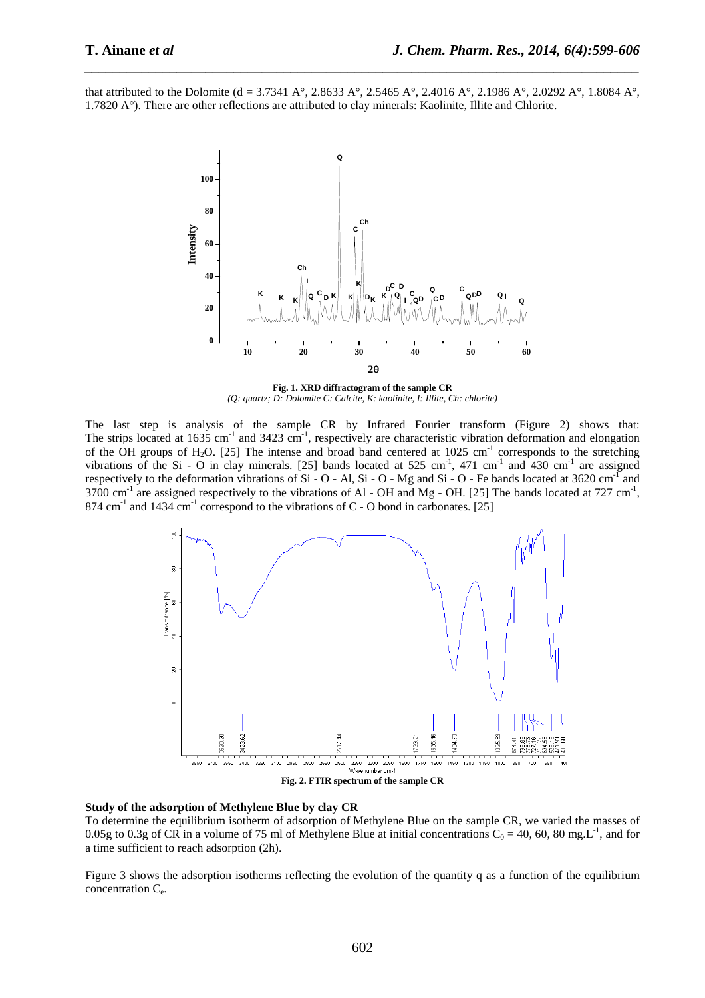that attributed to the Dolomite (d = 3.7341 A°, 2.8633 A°, 2.5465 A°, 2.4016 A°, 2.1986 A°, 2.0292 A°, 1.8084 A°, 1.7820 A°). There are other reflections are attributed to clay minerals: Kaolinite, Illite and Chlorite.

*\_\_\_\_\_\_\_\_\_\_\_\_\_\_\_\_\_\_\_\_\_\_\_\_\_\_\_\_\_\_\_\_\_\_\_\_\_\_\_\_\_\_\_\_\_\_\_\_\_\_\_\_\_\_\_\_\_\_\_\_\_\_\_\_\_\_\_\_\_\_\_\_\_\_\_\_\_\_*



**Fig. 1. XRD diffractogram of the sample CR**  *(Q: quartz; D: Dolomite C: Calcite, K: kaolinite, I: Illite, Ch: chlorite)* 

The last step is analysis of the sample CR by Infrared Fourier transform (Figure 2) shows that: The strips located at 1635 cm<sup>-1</sup> and 3423 cm<sup>-1</sup>, respectively are characteristic vibration deformation and elongation of the OH groups of H<sub>2</sub>O. [25] The intense and broad band centered at 1025 cm<sup>-1</sup> corresponds to the stretching vibrations of the Si - O in clay minerals. [25] bands located at 525 cm<sup>-1</sup>, 471 cm<sup>-1</sup> and 430 cm<sup>-1</sup> are assigned respectively to the deformation vibrations of Si - O - Al, Si - O - Mg and Si - O - Fe bands located at  $3620 \text{ cm}^{-1}$  and 3700 cm<sup>-1</sup> are assigned respectively to the vibrations of Al - OH and Mg - OH. [25] The bands located at 727 cm<sup>-1</sup>,  $874 \text{ cm}^{-1}$  and  $1434 \text{ cm}^{-1}$  correspond to the vibrations of C - O bond in carbonates. [25]



**Study of the adsorption of Methylene Blue by clay CR** 

To determine the equilibrium isotherm of adsorption of Methylene Blue on the sample CR, we varied the masses of 0.05g to 0.3g of CR in a volume of 75 ml of Methylene Blue at initial concentrations  $C_0 = 40$ , 60, 80 mg.L<sup>-1</sup>, and for a time sufficient to reach adsorption (2h).

Figure 3 shows the adsorption isotherms reflecting the evolution of the quantity q as a function of the equilibrium concentration C<sup>e</sup> .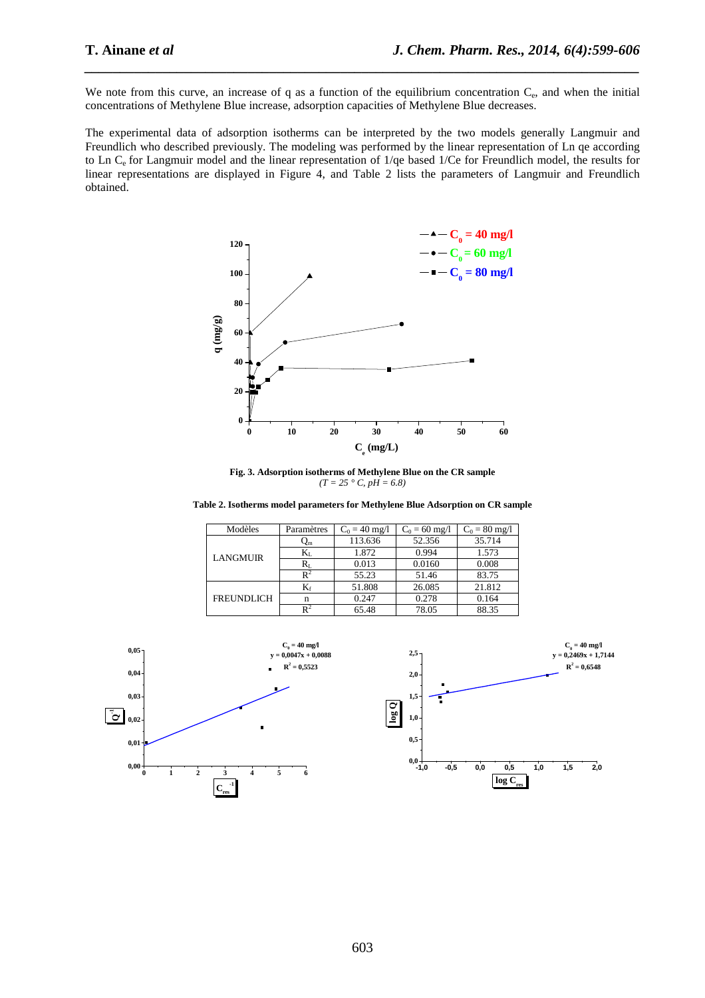We note from this curve, an increase of q as a function of the equilibrium concentration  $C_e$ , and when the initial concentrations of Methylene Blue increase, adsorption capacities of Methylene Blue decreases.

*\_\_\_\_\_\_\_\_\_\_\_\_\_\_\_\_\_\_\_\_\_\_\_\_\_\_\_\_\_\_\_\_\_\_\_\_\_\_\_\_\_\_\_\_\_\_\_\_\_\_\_\_\_\_\_\_\_\_\_\_\_\_\_\_\_\_\_\_\_\_\_\_\_\_\_\_\_\_*

The experimental data of adsorption isotherms can be interpreted by the two models generally Langmuir and Freundlich who described previously. The modeling was performed by the linear representation of Ln qe according to Ln Ce for Langmuir model and the linear representation of 1/qe based 1/Ce for Freundlich model, the results for linear representations are displayed in Figure 4, and Table 2 lists the parameters of Langmuir and Freundlich obtained.



**Fig. 3. Adsorption isotherms of Methylene Blue on the CR sample**   $(T = 25 \degree C, pH = 6.8)$ 

**Table 2. Isotherms model parameters for Methylene Blue Adsorption on CR sample** 

| Modèles           | Paramètres     | $C_0 = 40$ mg/l | $C_0 = 60$ mg/l | $C_0 = 80$ mg/l |
|-------------------|----------------|-----------------|-----------------|-----------------|
| <b>LANGMUIR</b>   | Ųm.            | 113.636         | 52.356          | 35.714          |
|                   | Kī.            | 1.872           | 0.994           | 1.573           |
|                   | $R_{\rm L}$    | 0.013           | 0.0160          | 0.008           |
|                   | $\mathbb{R}^2$ | 55.23           | 51.46           | 83.75           |
| <b>FREUNDLICH</b> | $K_f$          | 51.808          | 26.085          | 21.812          |
|                   | n              | 0.247           | 0.278           | 0.164           |
|                   | $\mathbb{R}^2$ | 65.48           | 78.05           | 88.35           |

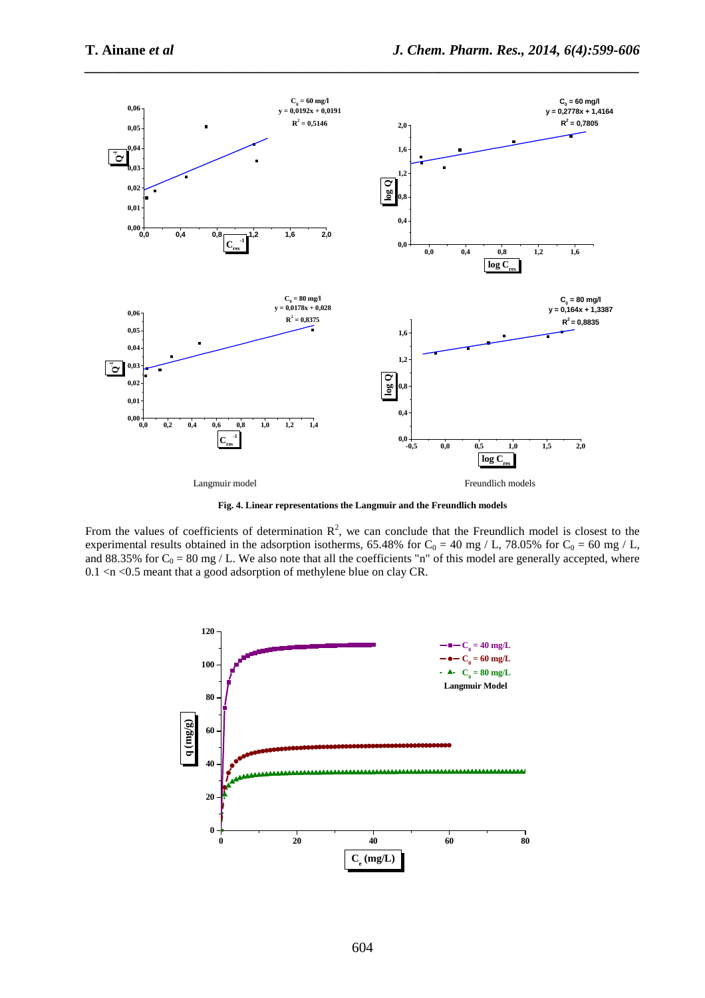

*\_\_\_\_\_\_\_\_\_\_\_\_\_\_\_\_\_\_\_\_\_\_\_\_\_\_\_\_\_\_\_\_\_\_\_\_\_\_\_\_\_\_\_\_\_\_\_\_\_\_\_\_\_\_\_\_\_\_\_\_\_\_\_\_\_\_\_\_\_\_\_\_\_\_\_\_\_\_*

**Fig. 4. Linear representations the Langmuir and the Freundlich models** 

From the values of coefficients of determination  $\mathbb{R}^2$ , we can conclude that the Freundlich model is closest to the experimental results obtained in the adsorption isotherms, 65.48% for  $C_0 = 40$  mg / L, 78.05% for  $C_0 = 60$  mg / L, and 88.35% for  $C_0 = 80$  mg / L. We also note that all the coefficients "n" of this model are generally accepted, where 0.1 <n <0.5 meant that a good adsorption of methylene blue on clay CR.

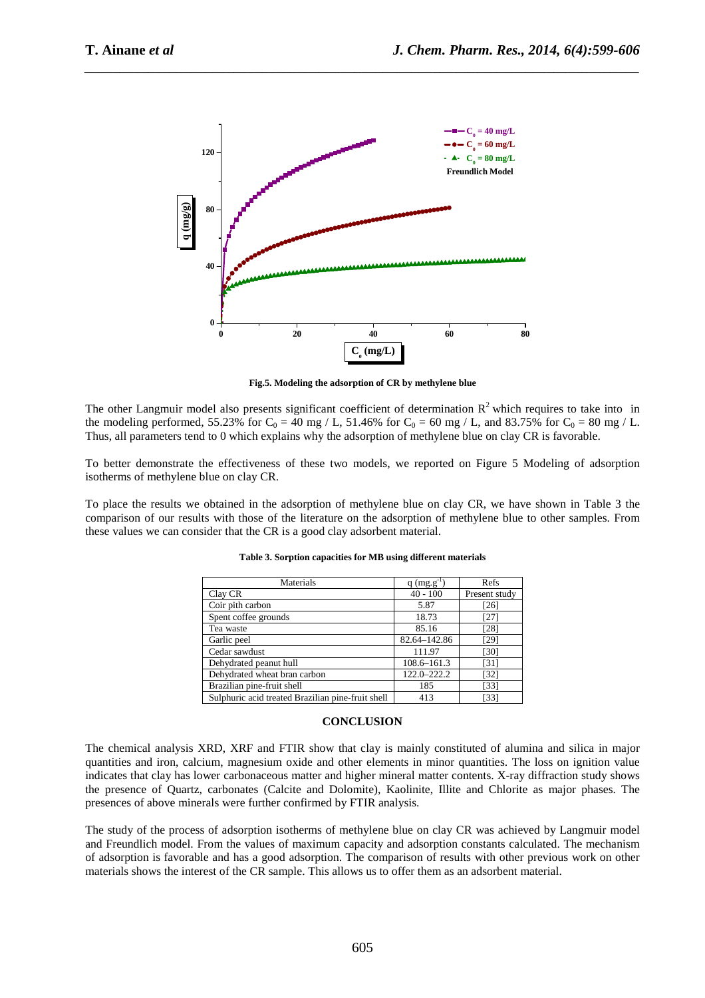

*\_\_\_\_\_\_\_\_\_\_\_\_\_\_\_\_\_\_\_\_\_\_\_\_\_\_\_\_\_\_\_\_\_\_\_\_\_\_\_\_\_\_\_\_\_\_\_\_\_\_\_\_\_\_\_\_\_\_\_\_\_\_\_\_\_\_\_\_\_\_\_\_\_\_\_\_\_\_*

**Fig.5. Modeling the adsorption of CR by methylene blue** 

The other Langmuir model also presents significant coefficient of determination  $R^2$  which requires to take into in the modeling performed, 55.23% for  $C_0 = 40$  mg / L, 51.46% for  $C_0 = 60$  mg / L, and 83.75% for  $C_0 = 80$  mg / L. Thus, all parameters tend to 0 which explains why the adsorption of methylene blue on clay CR is favorable.

To better demonstrate the effectiveness of these two models, we reported on Figure 5 Modeling of adsorption isotherms of methylene blue on clay CR.

To place the results we obtained in the adsorption of methylene blue on clay CR, we have shown in Table 3 the comparison of our results with those of the literature on the adsorption of methylene blue to other samples. From these values we can consider that the CR is a good clay adsorbent material.

| Materials                                         | $q$ (mg.g <sup>-1</sup> ) | Refs          |
|---------------------------------------------------|---------------------------|---------------|
| Clay CR                                           | $40 - 100$                | Present study |
| Coir pith carbon                                  | 5.87                      | $[26]$        |
| Spent coffee grounds                              | 18.73                     | $[27]$        |
| Tea waste                                         | 85.16                     | [28]          |
| Garlic peel                                       | 82.64-142.86              | [29]          |
| Cedar sawdust                                     | 111.97                    | [30]          |
| Dehydrated peanut hull                            | 108.6-161.3               | [31]          |
| Dehydrated wheat bran carbon                      | 122.0-222.2               | $[32]$        |
| Brazilian pine-fruit shell                        | 185                       | [33]          |
| Sulphuric acid treated Brazilian pine-fruit shell | 413                       | [33]          |

| Table 3. Sorption capacities for MB using different materials |  |  |
|---------------------------------------------------------------|--|--|
|                                                               |  |  |

#### **CONCLUSION**

The chemical analysis XRD, XRF and FTIR show that clay is mainly constituted of alumina and silica in major quantities and iron, calcium, magnesium oxide and other elements in minor quantities. The loss on ignition value indicates that clay has lower carbonaceous matter and higher mineral matter contents. X-ray diffraction study shows the presence of Quartz, carbonates (Calcite and Dolomite), Kaolinite, Illite and Chlorite as major phases. The presences of above minerals were further confirmed by FTIR analysis.

The study of the process of adsorption isotherms of methylene blue on clay CR was achieved by Langmuir model and Freundlich model. From the values of maximum capacity and adsorption constants calculated. The mechanism of adsorption is favorable and has a good adsorption. The comparison of results with other previous work on other materials shows the interest of the CR sample. This allows us to offer them as an adsorbent material.